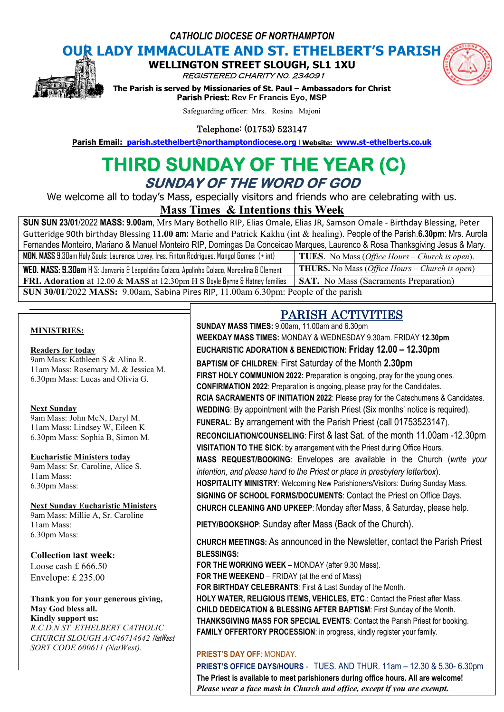*CATHOLIC DIOCESE OF NORTHAMPTON*

**OUR LADY IMMACULATE AND ST. ETHELBERT'S PARISH<br>
WELLINGTON STREET SLOUGH, SL1 1XU WELLINGTON STREET** 

REGISTERED CHARITY N0. 234091



**The Parism INDITION STREET SLOUGH, SL1 1XU<br>***REGISTERED CHARITY NO. 234091***<br>The Parish is served by Missionaries of St. Paul – Ambassadors for Christ Parish Priest: Rev Fr Francis Eyo, MSP Parish Email:** Parish is served by Missionaries of St. Paul – Ambassadors for Christ<br> **Parish Priest:** Rev Fr Francis Eyo, MSP<br>
Safeguarding officer: Mrs. Rosina Majoni<br> **Parish Email:** parish.stethelbert@northamptondioce

Safeguarding officer: Mrs. Rosina Majoni

Telephone: (01753) 523147

# THIRD SUNDAY OF THE YEAR (C) **SUNDAY OF THE WORD OF GOD**

We welcome all to today's Mass, especially visitors and friends who are celebrating with us.

**Mass Times Times & Intentions this Week** 

**SUN SUN 23/01**/2022 **MASS: 9.00am**, Mrs Mary Bothello RIP, Elias Omale, Elias JR, Samson Omale - Birthday Blessing, Peter Gutteridge 90th birthday Blessing 11.00 am: Marie and Patrick Kakhu (int & healing). People of the Parish.6.30pm: Mrs. Aurola Fernandes Monteiro, Mariano & Manuel Monteiro RIP, Domingas Da Conceicao Marques, Laurenco & Rosa Thanksgiving Jesus & Mary. **MON. MASS** 9.30am Holy Souls: Laurence, Lovey, Ires, Finton Rodrigues, Mongol Gomes **WED. MASS: 9.30am** H S: Janvario & Leopoldina Colaco, Apolinho Colaco, Marcelina **FRI. Adoration** at 12.00 & MASS at 12.30pm H S Doyle Byrne & Hatney families **SAT.** No Mass (Sacraments Preparation) **SUN 30/01**/2022 **MASS:** 9.00am, Sabina Pires RIP, 11.00am 6.30pm: People of the parish (+ int) **TUES**. No Mass ( No Mass *Office Hours – Church is open*). & Clement **THURS.** No Mass ( No Mass *Office Hours – Church is open*)

### **MINISTRIES:**

# **Readers for today**

9am Mass: Kathleen S & Alina R. 11am Mass: Rosemary M. & Jessica M. 6.30pm Mass: Lucas and Olivia G.

#### **Next Sunday**

9am Mass: John McN, Daryl M. 11am Mass: Lindsey W, Eileen K 6.30pm Mass: Sophia B, Simon M.

**Eucharistic Ministers today** 9am Mass: Sr. Caroline, Alice S. 11am Mass: 6.30pm Mass:

# **Next Sunday Eucharistic Ministers**

9am Mass: Millie A, Sr. Caroline 11am Mass: 6.30pm Mass:

### **Collection last week:**

Loose cash £ 666.50 Envelope: £ 235.00

#### **Thank you for your generous giving, May God bless all. Kindly support us:**

*R.C.D.N ST. ETHELBERT CATHOLIC CHURCH SLOUGH A/C46714642* NatWest *SORT CODE 600611 (NatWest).*

# PARISH ACTIVITIES ACTIVITIES

**SUNDAY MASS TIMES:** 9.00am, 11.00am and 6.30pm **WEEKDAY MASS TIMES:** MONDAY & WEDNESDAY 9.30am. FRIDAY MONDAY 9.30am. FRIDAY **12.30pm EUCHARISTIC ADORATION & BENEDICTION: Friday 1 12.00 – 12.30pm BAPTISM OF CHILDREN**: First Saturday of the Month **2.30pm FIRST HOLY COMMUNION 2022: P**reparation is ongoing, pray for the young ones. **CONFIRMATION 2022**: Preparation is ongoing, please pray for the Candidates. **RCIA SACRAMENTS OF INITIATION 2022**: Please pray for the Catechumens & Candidates. & Candidates. WEDDING: By appointment with the Parish Priest (Six months' notice is required). FUNERAL: By arrangement with the Parish Priest (call 01753523147). RECONCILIATION/COUNSELING: First & last Sat. of the month 11.00am -12.30pm **VISITATION TO THE SICK**: by arrangement with the Priest during Office Hours. **VISITATION TO THE SICK**: by arrangement with the Priest during Office Hours.<br>MASS REQUEST/BOOKING: Envelopes are available in the Church (*write your intention, and please hand to the Priest or place in presbytery letterbox*). **HOSPITALITY MINISTRY**: Welcoming New Parishioners/Visitors: During Sunday Mass. **SIGNING OF SCHOOL FORMS/DOCUMENTS**: Contact the Priest on Office Days. **CHURCH CLEANING AND UPKEEP**: Monday after Mass, : Welcoming New Parishioners/Visitors: During Sunday Mass.<br>**DRMS/DOCUMENTS**: Contact the Priest on Office Days.<br>**D UPKEEP**: Monday after Mass, & Saturday, please help.

PIETY/BOOKSHOP: Sunday after Mass (Back of the Church).

**CHURCH MEETINGS:** As announced in the Newsletter, contact the Parish Priest **BLESSINGS:**

**FOR THE WORKING WEEK** – MONDAY (after 9.30 Mass). **FOR THE WEEKEND** – FRIDAY (at the end of Mass) **FOR BIRTHDAY CELEBRANTS**: First & Last Sunday of the Month. **HOLY WATER, RELIGIOUS ITEMS, VEHICLES, ETC.: Contact the Priest after Mass. CHILD DEDEICATION & BLESSING AFTER BAPTISM: First Sunday of the Month. THANKSGIVING MASS FOR SPECIAL EVENTS**: Contact the Parish Priest for booking. **FAMILY OFFERTORY PROCESSION**: in progress, kindly register your family.

# **PRIEST'S DAY OFF**: MONDAY.

**FAMILY OFFERTORY PROCESSION**: in progress, kindly register your family.<br><mark>PRIEST'S DAY OFF: MOND</mark>AY.<br>**PRIEST'S OFFICE DAYS/HOURS** - TUES. AND THUR. 11am – 12.30 & 5.30- 6.30pm **The Priest is available to meet parishioners during office hours hours. All are welcome!** Please wear a face mask in Church and office, except if you are exempt.